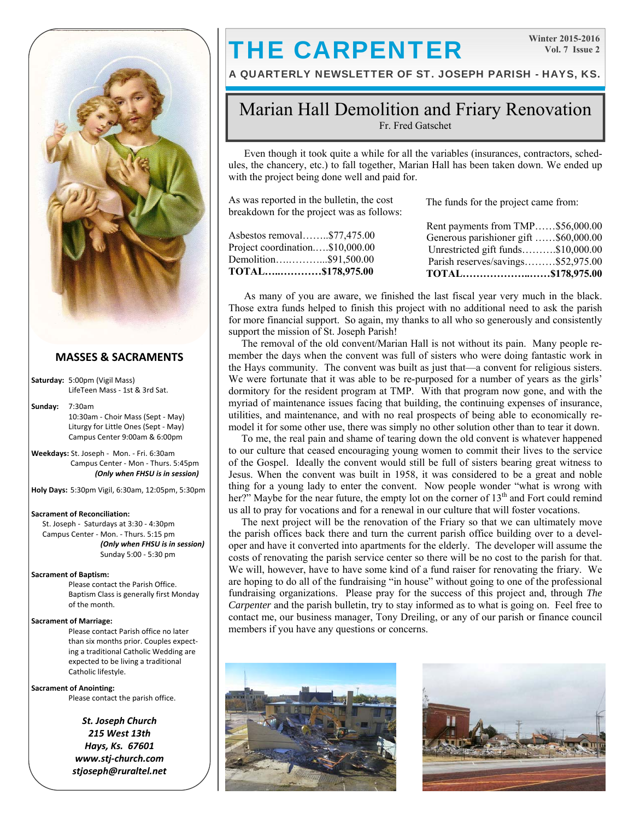

#### **MASSES & SACRAMENTS**

**Saturday:** 5:00pm (Vigil Mass) LifeTeen Mass ‐ 1st & 3rd Sat.

**Sunday:** 7:30am 10:30am ‐ Choir Mass (Sept ‐ May) Liturgy for Little Ones (Sept ‐ May) Campus Center 9:00am & 6:00pm

**Weekdays:** St. Joseph ‐ Mon. ‐ Fri. 6:30am Campus Center ‐ Mon ‐ Thurs. 5:45pm *(Only when FHSU is in session)*

**Holy Days:** 5:30pm Vigil, 6:30am, 12:05pm, 5:30pm

#### **Sacrament of Reconciliation:**

 St. Joseph ‐ Saturdays at 3:30 ‐ 4:30pm Campus Center ‐ Mon. ‐ Thurs. 5:15 pm *(Only when FHSU is in session)* Sunday 5:00 ‐ 5:30 pm

#### **Sacrament of Baptism:**

Please contact the Parish Office. Baptism Class is generally first Monday of the month.

#### **Sacrament of Marriage:**

Please contact Parish office no later than six months prior. Couples expect‐ ing a traditional Catholic Wedding are expected to be living a traditional Catholic lifestyle.

**Sacrament of Anointing:**  Please contact the parish office.

> *St. Joseph Church 215 West 13th Hays, Ks. 67601 www.stj‐church.com stjoseph@ruraltel.net*

# THE CARPENTER

**Winter 2015-2016 Vol. 7 Issue 2** 

A QUARTERLY NEWSLETTER OF ST. JOSEPH PARISH - HAYS, KS.

### Marian Hall Demolition and Friary Renovation Fr. Fred Gatschet

 Even though it took quite a while for all the variables (insurances, contractors, schedules, the chancery, etc.) to fall together, Marian Hall has been taken down. We ended up with the project being done well and paid for.

As was reported in the bulletin, the cost breakdown for the project was as follows:

Asbestos removal……..\$77,475.00 Project coordination.….\$10,000.00 Demolition….………...\$91,500.00

**TOTAL…..…………\$178,975.00**

The funds for the project came from:

| Rent payments from TMP\$56,000.00     |  |
|---------------------------------------|--|
| Generous parishioner gift \$60,000.00 |  |
| Unrestricted gift funds\$10,000.00    |  |
| Parish reserves/savings\$52,975.00    |  |
| TOTAL\$178,975.00                     |  |

 As many of you are aware, we finished the last fiscal year very much in the black. Those extra funds helped to finish this project with no additional need to ask the parish for more financial support. So again, my thanks to all who so generously and consistently support the mission of St. Joseph Parish!

 The removal of the old convent/Marian Hall is not without its pain. Many people remember the days when the convent was full of sisters who were doing fantastic work in the Hays community. The convent was built as just that—a convent for religious sisters. We were fortunate that it was able to be re-purposed for a number of years as the girls' dormitory for the resident program at TMP. With that program now gone, and with the myriad of maintenance issues facing that building, the continuing expenses of insurance, utilities, and maintenance, and with no real prospects of being able to economically remodel it for some other use, there was simply no other solution other than to tear it down.

 To me, the real pain and shame of tearing down the old convent is whatever happened to our culture that ceased encouraging young women to commit their lives to the service of the Gospel. Ideally the convent would still be full of sisters bearing great witness to Jesus. When the convent was built in 1958, it was considered to be a great and noble thing for a young lady to enter the convent. Now people wonder "what is wrong with her?" Maybe for the near future, the empty lot on the corner of  $13<sup>th</sup>$  and Fort could remind us all to pray for vocations and for a renewal in our culture that will foster vocations.

 The next project will be the renovation of the Friary so that we can ultimately move the parish offices back there and turn the current parish office building over to a developer and have it converted into apartments for the elderly. The developer will assume the costs of renovating the parish service center so there will be no cost to the parish for that. We will, however, have to have some kind of a fund raiser for renovating the friary. We are hoping to do all of the fundraising "in house" without going to one of the professional fundraising organizations. Please pray for the success of this project and, through *The Carpenter* and the parish bulletin, try to stay informed as to what is going on. Feel free to contact me, our business manager, Tony Dreiling, or any of our parish or finance council members if you have any questions or concerns.



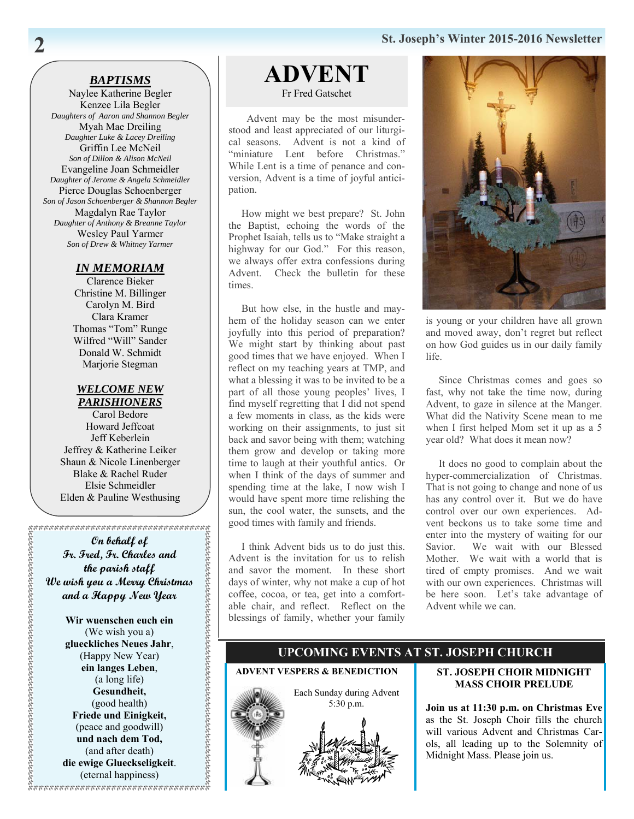### **St. Joseph's Winter 2015-2016 Newsletter**

#### *BAPTISMS*

Naylee Katherine Begler Kenzee Lila Begler *Daughters of Aaron and Shannon Begler* Myah Mae Dreiling *Daughter Luke & Lacey Dreiling* Griffin Lee McNeil *Son of Dillon & Alison McNeil* Evangeline Joan Schmeidler *Daughter of Jerome & Angela Schmeidler*  Pierce Douglas Schoenberger *Son of Jason Schoenberger & Shannon Begler* Magdalyn Rae Taylor *Daughter of Anthony & Breanne Taylor*  Wesley Paul Yarmer *Son of Drew & Whitney Yarmer*

#### *IN MEMORIAM*

Clarence Bieker Christine M. Billinger Carolyn M. Bird Clara Kramer Thomas "Tom" Runge Wilfred "Will" Sander Donald W. Schmidt Marjorie Stegman

#### *WELCOME NEW PARISHIONERS*

Carol Bedore Howard Jeffcoat Jeff Keberlein Jeffrey & Katherine Leiker Shaun & Nicole Linenberger Blake & Rachel Ruder Elsie Schmeidler Elden & Pauline Westhusing

**On behalf of Fr. Fred, Fr. Charles and the parish staff We wish you a Merry Christmas and a Happy New Year** 

> **Wir wuenschen euch ein**  (We wish you a) **glueckliches Neues Jahr**, (Happy New Year) **ein langes Leben**, (a long life) **Gesundheit,**  (good health) **Friede und Einigkeit,**  (peace and goodwill) **und nach dem Tod,**  (and after death) **die ewige Glueckseligkeit**. (eternal happiness)

# **ADVENT**

Fr Fred Gatschet

 Advent may be the most misunderstood and least appreciated of our liturgical seasons. Advent is not a kind of "miniature Lent before Christmas." While Lent is a time of penance and conversion, Advent is a time of joyful anticipation.

 How might we best prepare? St. John the Baptist, echoing the words of the Prophet Isaiah, tells us to "Make straight a highway for our God." For this reason, we always offer extra confessions during Advent. Check the bulletin for these times.

 But how else, in the hustle and mayhem of the holiday season can we enter joyfully into this period of preparation? We might start by thinking about past good times that we have enjoyed. When I reflect on my teaching years at TMP, and what a blessing it was to be invited to be a part of all those young peoples' lives, I find myself regretting that I did not spend a few moments in class, as the kids were working on their assignments, to just sit back and savor being with them; watching them grow and develop or taking more time to laugh at their youthful antics. Or when I think of the days of summer and spending time at the lake, I now wish I would have spent more time relishing the sun, the cool water, the sunsets, and the good times with family and friends.

 I think Advent bids us to do just this. Advent is the invitation for us to relish and savor the moment. In these short days of winter, why not make a cup of hot coffee, cocoa, or tea, get into a comfortable chair, and reflect. Reflect on the blessings of family, whether your family



is young or your children have all grown and moved away, don't regret but reflect on how God guides us in our daily family life.

 Since Christmas comes and goes so fast, why not take the time now, during Advent, to gaze in silence at the Manger. What did the Nativity Scene mean to me when I first helped Mom set it up as a 5 year old? What does it mean now?

 It does no good to complain about the hyper-commercialization of Christmas. That is not going to change and none of us has any control over it. But we do have control over our own experiences. Advent beckons us to take some time and enter into the mystery of waiting for our Savior. We wait with our Blessed Mother. We wait with a world that is tired of empty promises. And we wait with our own experiences. Christmas will be here soon. Let's take advantage of Advent while we can.



#### **ST. JOSEPH CHOIR MIDNIGHT MASS CHOIR PRELUDE**

**UPCOMING EVENTS AT ST. JOSEPH CHURCH** 

**Join us at 11:30 p.m. on Christmas Eve**  as the St. Joseph Choir fills the church will various Advent and Christmas Carols, all leading up to the Solemnity of Midnight Mass. Please join us.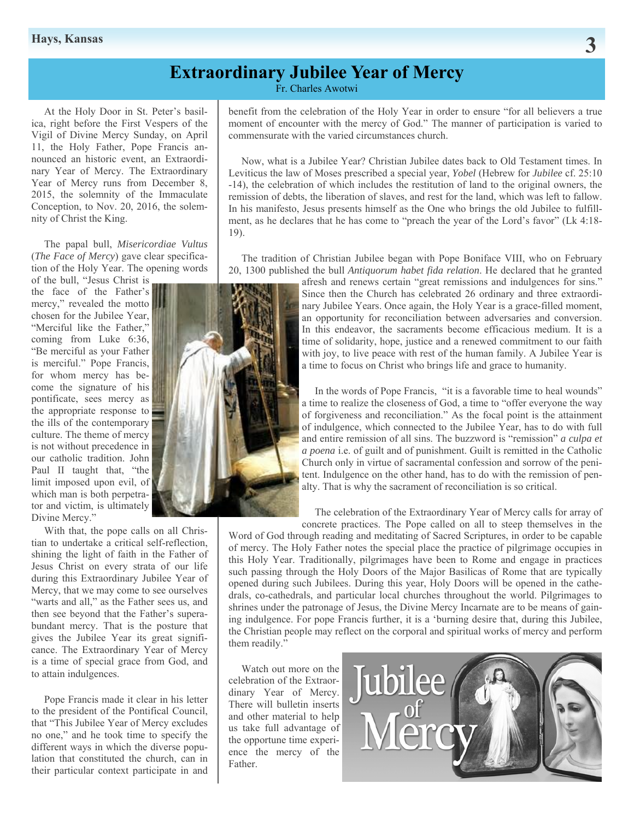### **Extraordinary Jubilee Year of Mercy**

Fr. Charles Awotwi

 At the Holy Door in St. Peter's basilica, right before the First Vespers of the Vigil of Divine Mercy Sunday, on April 11, the Holy Father, Pope Francis announced an historic event, an Extraordinary Year of Mercy. The Extraordinary Year of Mercy runs from December 8, 2015, the solemnity of the Immaculate Conception, to Nov. 20, 2016, the solemnity of Christ the King.

 The papal bull, *Misericordiae Vultus*  (*The Face of Mercy*) gave clear specification of the Holy Year. The opening words of the bull, "Jesus Christ is

the face of the Father's mercy," revealed the motto chosen for the Jubilee Year, "Merciful like the Father," coming from Luke 6:36, "Be merciful as your Father is merciful." Pope Francis, for whom mercy has become the signature of his pontificate, sees mercy as the appropriate response to the ills of the contemporary culture. The theme of mercy is not without precedence in our catholic tradition. John Paul II taught that, "the limit imposed upon evil, of which man is both perpetrator and victim, is ultimately Divine Mercy."

 With that, the pope calls on all Christian to undertake a critical self-reflection, shining the light of faith in the Father of Jesus Christ on every strata of our life during this Extraordinary Jubilee Year of Mercy, that we may come to see ourselves "warts and all," as the Father sees us, and then see beyond that the Father's superabundant mercy. That is the posture that gives the Jubilee Year its great significance. The Extraordinary Year of Mercy is a time of special grace from God, and to attain indulgences.

 Pope Francis made it clear in his letter to the president of the Pontifical Council, that "This Jubilee Year of Mercy excludes no one," and he took time to specify the different ways in which the diverse population that constituted the church, can in their particular context participate in and

benefit from the celebration of the Holy Year in order to ensure "for all believers a true moment of encounter with the mercy of God." The manner of participation is varied to commensurate with the varied circumstances church.

 Now, what is a Jubilee Year? Christian Jubilee dates back to Old Testament times. In Leviticus the law of Moses prescribed a special year, *Yobel* (Hebrew for *Jubilee* cf. 25:10 -14), the celebration of which includes the restitution of land to the original owners, the remission of debts, the liberation of slaves, and rest for the land, which was left to fallow. In his manifesto, Jesus presents himself as the One who brings the old Jubilee to fulfillment, as he declares that he has come to "preach the year of the Lord's favor" (Lk 4:18- 19).

 The tradition of Christian Jubilee began with Pope Boniface VIII, who on February 20, 1300 published the bull *Antiquorum habet fida relation*. He declared that he granted

afresh and renews certain "great remissions and indulgences for sins." Since then the Church has celebrated 26 ordinary and three extraordinary Jubilee Years. Once again, the Holy Year is a grace-filled moment, an opportunity for reconciliation between adversaries and conversion. In this endeavor, the sacraments become efficacious medium. It is a time of solidarity, hope, justice and a renewed commitment to our faith with joy, to live peace with rest of the human family. A Jubilee Year is a time to focus on Christ who brings life and grace to humanity.

 In the words of Pope Francis, "it is a favorable time to heal wounds" a time to realize the closeness of God, a time to "offer everyone the way of forgiveness and reconciliation." As the focal point is the attainment of indulgence, which connected to the Jubilee Year, has to do with full and entire remission of all sins. The buzzword is "remission" *a culpa et a poena* i.e. of guilt and of punishment. Guilt is remitted in the Catholic Church only in virtue of sacramental confession and sorrow of the penitent. Indulgence on the other hand, has to do with the remission of penalty. That is why the sacrament of reconciliation is so critical.

 The celebration of the Extraordinary Year of Mercy calls for array of concrete practices. The Pope called on all to steep themselves in the

Word of God through reading and meditating of Sacred Scriptures, in order to be capable of mercy. The Holy Father notes the special place the practice of pilgrimage occupies in this Holy Year. Traditionally, pilgrimages have been to Rome and engage in practices such passing through the Holy Doors of the Major Basilicas of Rome that are typically opened during such Jubilees. During this year, Holy Doors will be opened in the cathedrals, co-cathedrals, and particular local churches throughout the world. Pilgrimages to shrines under the patronage of Jesus, the Divine Mercy Incarnate are to be means of gaining indulgence. For pope Francis further, it is a 'burning desire that, during this Jubilee, the Christian people may reflect on the corporal and spiritual works of mercy and perform them readily."

 Watch out more on the celebration of the Extraordinary Year of Mercy. There will bulletin inserts and other material to help us take full advantage of the opportune time experience the mercy of the Father.



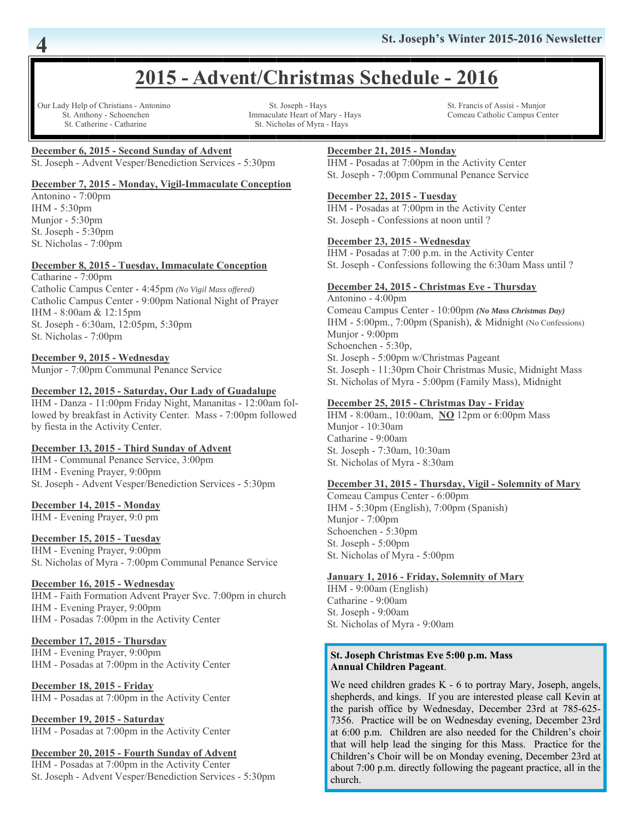## **2015 - Advent/Christmas Schedule - 2016**

Our Lady Help of Christians - Antonino St. Joseph - Hays St. Francis of Assisi - Munjor St. Catherine - Catharine St. Nicholas of Myra - Hays

St. Anthony - Schoenchen Immaculate Heart of Mary - Hays Comeau Catholic Campus Center

#### **December 6, 2015 - Second Sunday of Advent**

St. Joseph - Advent Vesper/Benediction Services - 5:30pm

#### **December 7, 2015 - Monday, Vigil-Immaculate Conception**

Antonino - 7:00pm IHM - 5:30pm Munjor - 5:30pm St. Joseph - 5:30pm St. Nicholas - 7:00pm

#### **December 8, 2015 - Tuesday, Immaculate Conception**

Catharine - 7:00pm Catholic Campus Center - 4:45pm *(No Vigil Mass offered)* Catholic Campus Center - 9:00pm National Night of Prayer IHM - 8:00am & 12:15pm

St. Joseph - 6:30am, 12:05pm, 5:30pm St. Nicholas - 7:00pm

#### **December 9, 2015 - Wednesday**

Munjor - 7:00pm Communal Penance Service

#### **December 12, 2015 - Saturday, Our Lady of Guadalupe**

IHM - Danza - 11:00pm Friday Night, Mananitas - 12:00am followed by breakfast in Activity Center. Mass - 7:00pm followed by fiesta in the Activity Center.

#### **December 13, 2015 - Third Sunday of Advent**

IHM - Communal Penance Service, 3:00pm IHM - Evening Prayer, 9:00pm St. Joseph - Advent Vesper/Benediction Services - 5:30pm

#### **December 14, 2015 - Monday**

IHM - Evening Prayer, 9:0 pm

#### **December 15, 2015 - Tuesday**

IHM - Evening Prayer, 9:00pm St. Nicholas of Myra - 7:00pm Communal Penance Service

#### **December 16, 2015 - Wednesday**

IHM - Faith Formation Advent Prayer Svc. 7:00pm in church IHM - Evening Prayer, 9:00pm IHM - Posadas 7:00pm in the Activity Center

#### **December 17, 2015 - Thursday**

IHM - Evening Prayer, 9:00pm IHM - Posadas at 7:00pm in the Activity Center

**December 18, 2015 - Friday**

IHM - Posadas at 7:00pm in the Activity Center

**December 19, 2015 - Saturday** IHM - Posadas at 7:00pm in the Activity Center

#### **December 20, 2015 - Fourth Sunday of Advent**

IHM - Posadas at 7:00pm in the Activity Center St. Joseph - Advent Vesper/Benediction Services - 5:30pm

#### **December 21, 2015 - Monday**

IHM - Posadas at 7:00pm in the Activity Center St. Joseph - 7:00pm Communal Penance Service

#### **December 22, 2015 - Tuesday**

IHM - Posadas at 7:00pm in the Activity Center St. Joseph - Confessions at noon until ?

#### **December 23, 2015 - Wednesday**

IHM - Posadas at 7:00 p.m. in the Activity Center St. Joseph - Confessions following the 6:30am Mass until ?

#### **December 24, 2015 - Christmas Eve - Thursday**

Antonino - 4:00pm Comeau Campus Center - 10:00pm *(No Mass Christmas Day)* IHM - 5:00pm., 7:00pm (Spanish), & Midnight (No Confessions) Munjor - 9:00pm Schoenchen - 5:30p, St. Joseph - 5:00pm w/Christmas Pageant St. Joseph - 11:30pm Choir Christmas Music, Midnight Mass St. Nicholas of Myra - 5:00pm (Family Mass), Midnight

#### **December 25, 2015 - Christmas Day - Friday**

IHM - 8:00am., 10:00am, **NO** 12pm or 6:00pm Mass Munjor - 10:30am Catharine - 9:00am St. Joseph - 7:30am, 10:30am St. Nicholas of Myra - 8:30am

#### **December 31, 2015 - Thursday, Vigil - Solemnity of Mary**

Comeau Campus Center - 6:00pm IHM - 5:30pm (English), 7:00pm (Spanish) Munjor - 7:00pm Schoenchen - 5:30pm St. Joseph - 5:00pm St. Nicholas of Myra - 5:00pm

#### **January 1, 2016 - Friday, Solemnity of Mary**

IHM - 9:00am (English) Catharine - 9:00am St. Joseph - 9:00am St. Nicholas of Myra - 9:00am

#### **St. Joseph Christmas Eve 5:00 p.m. Mass Annual Children Pageant**.

We need children grades K - 6 to portray Mary, Joseph, angels, shepherds, and kings. If you are interested please call Kevin at the parish office by Wednesday, December 23rd at 785-625- 7356. Practice will be on Wednesday evening, December 23rd at 6:00 p.m. Children are also needed for the Children's choir that will help lead the singing for this Mass. Practice for the Children's Choir will be on Monday evening, December 23rd at about 7:00 p.m. directly following the pageant practice, all in the church.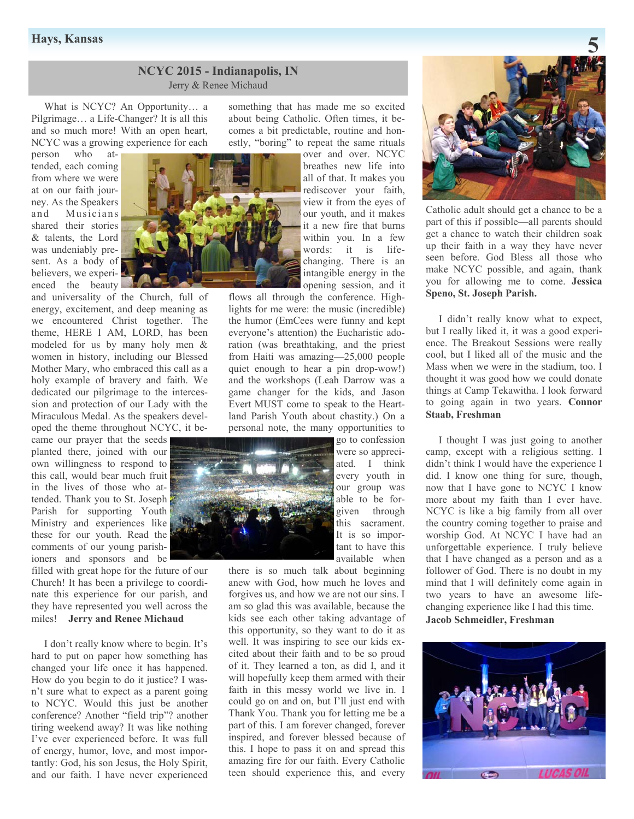#### **NCYC 2015 - Indianapolis, IN**  Jerry & Renee Michaud

 What is NCYC? An Opportunity… a Pilgrimage… a Life-Changer? It is all this and so much more! With an open heart, NCYC was a growing experience for each

person who attended, each coming from where we were at on our faith journey. As the Speakers and Musicians shared their stories & talents, the Lord was undeniably present. As a body of believers, we experienced the beauty

and universality of the Church, full of energy, excitement, and deep meaning as we encountered Christ together. The theme, HERE I AM, LORD, has been modeled for us by many holy men & women in history, including our Blessed Mother Mary, who embraced this call as a holy example of bravery and faith. We dedicated our pilgrimage to the intercession and protection of our Lady with the Miraculous Medal. As the speakers developed the theme throughout NCYC, it be-

came our prayer that the seeds planted there, joined with our own willingness to respond to this call, would bear much fruit in the lives of those who attended. Thank you to St. Joseph Parish for supporting Youth Ministry and experiences like these for our youth. Read the comments of our young parishioners and sponsors and be

filled with great hope for the future of our Church! It has been a privilege to coordinate this experience for our parish, and they have represented you well across the miles! **Jerry and Renee Michaud** 

 I don't really know where to begin. It's hard to put on paper how something has changed your life once it has happened. How do you begin to do it justice? I wasn't sure what to expect as a parent going to NCYC. Would this just be another conference? Another "field trip"? another tiring weekend away? It was like nothing I've ever experienced before. It was full of energy, humor, love, and most importantly: God, his son Jesus, the Holy Spirit, and our faith. I have never experienced

something that has made me so excited about being Catholic. Often times, it becomes a bit predictable, routine and honestly, "boring" to repeat the same rituals

> over and over. NCYC breathes new life into all of that. It makes you rediscover your faith, view it from the eyes of our youth, and it makes it a new fire that burns within you. In a few words: it is lifechanging. There is an intangible energy in the opening session, and it

flows all through the conference. Highlights for me were: the music (incredible) the humor (EmCees were funny and kept everyone's attention) the Eucharistic adoration (was breathtaking, and the priest from Haiti was amazing—25,000 people quiet enough to hear a pin drop-wow!) and the workshops (Leah Darrow was a game changer for the kids, and Jason Evert MUST come to speak to the Heartland Parish Youth about chastity.) On a personal note, the many opportunities to

go to confession were so appreciated. I think every youth in our group was able to be forgiven through this sacrament. It is so important to have this available when

there is so much talk about beginning anew with God, how much he loves and forgives us, and how we are not our sins. I am so glad this was available, because the kids see each other taking advantage of this opportunity, so they want to do it as well. It was inspiring to see our kids excited about their faith and to be so proud of it. They learned a ton, as did I, and it will hopefully keep them armed with their faith in this messy world we live in. I could go on and on, but I'll just end with Thank You. Thank you for letting me be a part of this. I am forever changed, forever inspired, and forever blessed because of this. I hope to pass it on and spread this amazing fire for our faith. Every Catholic teen should experience this, and every



Catholic adult should get a chance to be a part of this if possible—all parents should get a chance to watch their children soak up their faith in a way they have never seen before. God Bless all those who make NCYC possible, and again, thank you for allowing me to come. **Jessica Speno, St. Joseph Parish.** 

 I didn't really know what to expect, but I really liked it, it was a good experience. The Breakout Sessions were really cool, but I liked all of the music and the Mass when we were in the stadium, too. I thought it was good how we could donate things at Camp Tekawitha. I look forward to going again in two years. **Connor Staab, Freshman**

 I thought I was just going to another camp, except with a religious setting. I didn't think I would have the experience I did. I know one thing for sure, though, now that I have gone to NCYC I know more about my faith than I ever have. NCYC is like a big family from all over the country coming together to praise and worship God. At NCYC I have had an unforgettable experience. I truly believe that I have changed as a person and as a follower of God. There is no doubt in my mind that I will definitely come again in two years to have an awesome lifechanging experience like I had this time. **Jacob Schmeidler, Freshman**

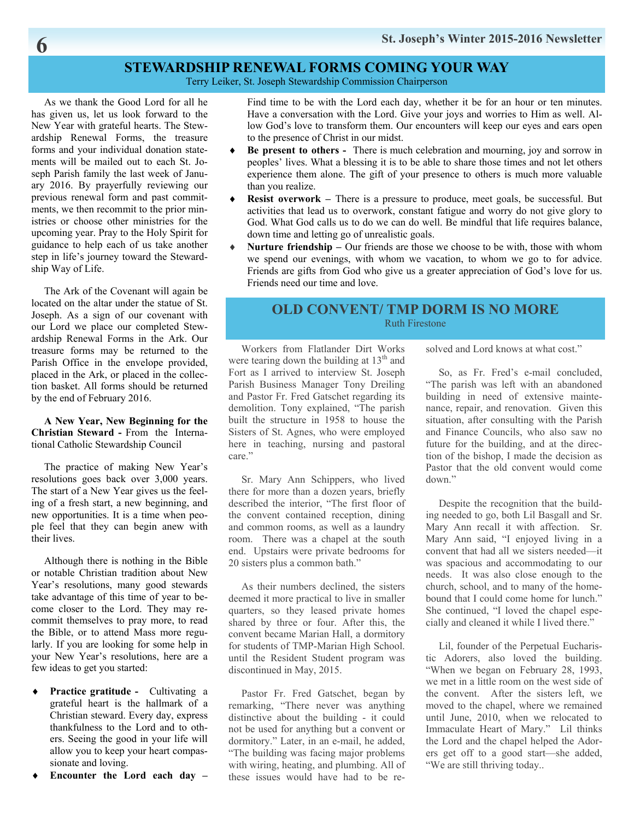### **STEWARDSHIP RENEWAL FORMS COMING YOUR WAY**

Terry Leiker, St. Joseph Stewardship Commission Chairperson

 As we thank the Good Lord for all he has given us, let us look forward to the New Year with grateful hearts. The Stewardship Renewal Forms, the treasure forms and your individual donation statements will be mailed out to each St. Joseph Parish family the last week of January 2016. By prayerfully reviewing our previous renewal form and past commitments, we then recommit to the prior ministries or choose other ministries for the upcoming year. Pray to the Holy Spirit for guidance to help each of us take another step in life's journey toward the Stewardship Way of Life.

 The Ark of the Covenant will again be located on the altar under the statue of St. Joseph. As a sign of our covenant with our Lord we place our completed Stewardship Renewal Forms in the Ark. Our treasure forms may be returned to the Parish Office in the envelope provided, placed in the Ark, or placed in the collection basket. All forms should be returned by the end of February 2016.

 **A New Year, New Beginning for the Christian Steward -** From the International Catholic Stewardship Council

 The practice of making New Year's resolutions goes back over 3,000 years. The start of a New Year gives us the feeling of a fresh start, a new beginning, and new opportunities. It is a time when people feel that they can begin anew with their lives.

 Although there is nothing in the Bible or notable Christian tradition about New Year's resolutions, many good stewards take advantage of this time of year to become closer to the Lord. They may recommit themselves to pray more, to read the Bible, or to attend Mass more regularly. If you are looking for some help in your New Year's resolutions, here are a few ideas to get you started:

- **Practice gratitude -** Cultivating a grateful heart is the hallmark of a Christian steward. Every day, express thankfulness to the Lord and to others. Seeing the good in your life will allow you to keep your heart compassionate and loving.
- **Encounter the Lord each day**

Find time to be with the Lord each day, whether it be for an hour or ten minutes. Have a conversation with the Lord. Give your joys and worries to Him as well. Allow God's love to transform them. Our encounters will keep our eyes and ears open to the presence of Christ in our midst.

- **Be present to others** There is much celebration and mourning, joy and sorrow in peoples' lives. What a blessing it is to be able to share those times and not let others experience them alone. The gift of your presence to others is much more valuable than you realize.
- **Resist overwork** There is a pressure to produce, meet goals, be successful. But activities that lead us to overwork, constant fatigue and worry do not give glory to God. What God calls us to do we can do well. Be mindful that life requires balance, down time and letting go of unrealistic goals.
- **Nurture friendship** Our friends are those we choose to be with, those with whom we spend our evenings, with whom we vacation, to whom we go to for advice. Friends are gifts from God who give us a greater appreciation of God's love for us. Friends need our time and love.

#### **OLD CONVENT/ TMP DORM IS NO MORE**  Ruth Firestone

 Workers from Flatlander Dirt Works were tearing down the building at  $13<sup>th</sup>$  and Fort as I arrived to interview St. Joseph Parish Business Manager Tony Dreiling and Pastor Fr. Fred Gatschet regarding its demolition. Tony explained, "The parish built the structure in 1958 to house the Sisters of St. Agnes, who were employed here in teaching, nursing and pastoral care."

 Sr. Mary Ann Schippers, who lived there for more than a dozen years, briefly described the interior, "The first floor of the convent contained reception, dining and common rooms, as well as a laundry room. There was a chapel at the south end. Upstairs were private bedrooms for 20 sisters plus a common bath."

 As their numbers declined, the sisters deemed it more practical to live in smaller quarters, so they leased private homes shared by three or four. After this, the convent became Marian Hall, a dormitory for students of TMP-Marian High School. until the Resident Student program was discontinued in May, 2015.

 Pastor Fr. Fred Gatschet, began by remarking, "There never was anything distinctive about the building - it could not be used for anything but a convent or dormitory." Later, in an e-mail, he added, "The building was facing major problems with wiring, heating, and plumbing. All of these issues would have had to be resolved and Lord knows at what cost."

 So, as Fr. Fred's e-mail concluded, "The parish was left with an abandoned building in need of extensive maintenance, repair, and renovation. Given this situation, after consulting with the Parish and Finance Councils, who also saw no future for the building, and at the direction of the bishop, I made the decision as Pastor that the old convent would come down."

 Despite the recognition that the building needed to go, both Lil Basgall and Sr. Mary Ann recall it with affection. Sr. Mary Ann said, "I enjoyed living in a convent that had all we sisters needed—it was spacious and accommodating to our needs. It was also close enough to the church, school, and to many of the homebound that I could come home for lunch." She continued, "I loved the chapel especially and cleaned it while I lived there."

 Lil, founder of the Perpetual Eucharistic Adorers, also loved the building. "When we began on February 28, 1993, we met in a little room on the west side of the convent. After the sisters left, we moved to the chapel, where we remained until June, 2010, when we relocated to Immaculate Heart of Mary." Lil thinks the Lord and the chapel helped the Adorers get off to a good start—she added, "We are still thriving today..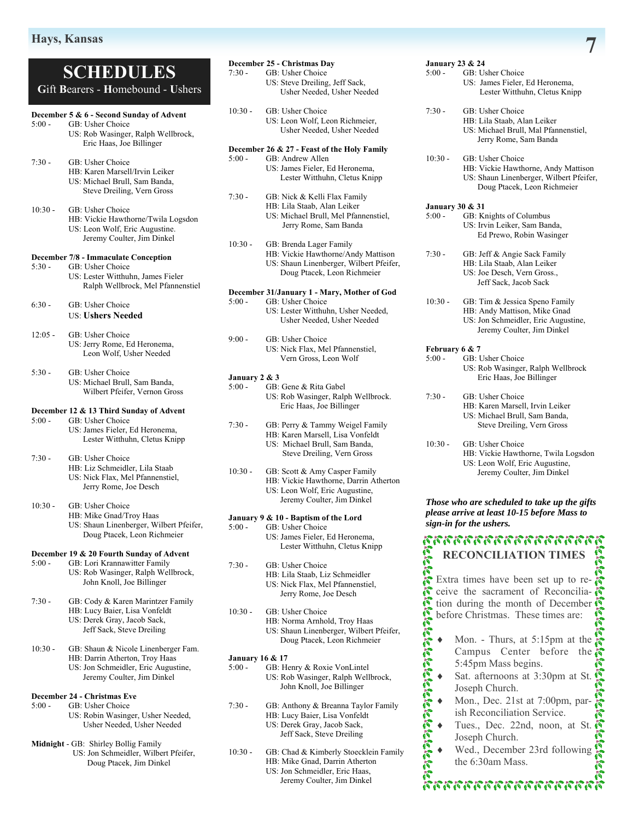### **SCHEDULES G**ift **B**earers - **H**omebound - **U**shers

#### **December 5 & 6 - Second Sunday of Advent**

- 5:00 GB: Usher Choice US: Rob Wasinger, Ralph Wellbrock, Eric Haas, Joe Billinger
- 7:30 GB: Usher Choice HB: Karen Marsell/Irvin Leiker US: Michael Brull, Sam Banda, Steve Dreiling, Vern Gross

10:30 - GB: Usher Choice HB: Vickie Hawthorne/Twila Logsdon US: Leon Wolf, Eric Augustine. Jeremy Coulter, Jim Dinkel

#### **December 7/8 - Immaculate Conception**

- 5:30 GB: Usher Choice US: Lester Witthuhn, James Fieler Ralph Wellbrock, Mel Pfannenstiel
- 6:30 GB: Usher Choice US: **Ushers Needed**
- 12:05 GB: Usher Choice US: Jerry Rome, Ed Heronema, Leon Wolf, Usher Needed

5:30 - GB: Usher Choice US: Michael Brull, Sam Banda, Wilbert Pfeifer, Vernon Gross

#### **December 12 & 13 Third Sunday of Advent**

5:00 - GB: Usher Choice US: James Fieler, Ed Heronema, Lester Witthuhn, Cletus Knipp

7:30 - GB: Usher Choice

 HB: Liz Schmeidler, Lila Staab US: Nick Flax, Mel Pfannenstiel, Jerry Rome, Joe Desch

10:30 - GB: Usher Choice

- HB: Mike Gnad/Troy Haas
	- US: Shaun Linenberger, Wilbert Pfeifer, Doug Ptacek, Leon Richmeier

#### **December 19 & 20 Fourth Sunday of Advent**

- 5:00 GB: Lori Krannawitter Family US: Rob Wasinger, Ralph Wellbrock, John Knoll, Joe Billinger
- 7:30 GB: Cody & Karen Marintzer Family HB: Lucy Baier, Lisa Vonfeldt US: Derek Gray, Jacob Sack, Jeff Sack, Steve Dreiling
- 10:30 GB: Shaun & Nicole Linenberger Fam. HB: Darrin Atherton, Troy Haas US: Jon Schmeidler, Eric Augustine, Jeremy Coulter, Jim Dinkel

#### **December 24 - Christmas Eve**

- 5:00 GB: Usher Choice
	- US: Robin Wasinger, Usher Needed, Usher Needed, Usher Needed

#### **Midnight** - GB: Shirley Bollig Family

 US: Jon Schmeidler, Wilbert Pfeifer, Doug Ptacek, Jim Dinkel

|           | December 25 - Christmas Dav                 |
|-----------|---------------------------------------------|
| $7:30-$   | GB: Usher Choice                            |
|           | US: Steve Dreiling, Jeff Sack,              |
|           | Usher Needed, Usher Needed                  |
| $10:30 -$ | GB: Usher Choice                            |
|           | US: Leon Wolf, Leon Richmeier,              |
|           | Usher Needed, Usher Needed                  |
|           | December 26 & 27 - Feast of the Holy Family |
| $5:00 -$  | GB: Andrew Allen                            |
|           | US: James Fieler, Ed Heronema,              |

- Lester Witthuhn, Cletus Knipp 7:30 - GB: Nick & Kelli Flax Family HB: Lila Staab, Alan Leiker
	- US: Michael Brull, Mel Pfannenstiel, Jerry Rome, Sam Banda
- 10:30 GB: Brenda Lager Family HB: Vickie Hawthorne/Andy Mattison US: Shaun Linenberger, Wilbert Pfeifer, Doug Ptacek, Leon Richmeier

### **December 31/January 1 - Mary, Mother of God**

- GB: Usher Choice US: Lester Witthuhn, Usher Needed, Usher Needed, Usher Needed
- 9:00 GB: Usher Choice US: Nick Flax, Mel Pfannenstiel, Vern Gross, Leon Wolf
- **January 2 & 3**
- 5:00 GB: Gene & Rita Gabel US: Rob Wasinger, Ralph Wellbrock. Eric Haas, Joe Billinger
- 7:30 GB: Perry & Tammy Weigel Family HB: Karen Marsell, Lisa Vonfeldt US: Michael Brull, Sam Banda, Steve Dreiling, Vern Gross
- 10:30 GB: Scott & Amy Casper Family HB: Vickie Hawthorne, Darrin Atherton US: Leon Wolf, Eric Augustine, Jeremy Coulter, Jim Dinkel

### **January 9 & 10 - Baptism of the Lord**<br>5:00 - GB: Usher Choice

- GB: Usher Choice US: James Fieler, Ed Heronema, Lester Witthuhn, Cletus Knipp
- 7:30 GB: Usher Choice HB: Lila Staab, Liz Schmeidler US: Nick Flax, Mel Pfannenstiel, Jerry Rome, Joe Desch
- 10:30 GB: Usher Choice HB: Norma Arnhold, Troy Haas US: Shaun Linenberger, Wilbert Pfeifer, Doug Ptacek, Leon Richmeier

### **January 16 & 17**<br>5:00 - **GB**: H

- GB: Henry & Roxie VonLintel US: Rob Wasinger, Ralph Wellbrock, John Knoll, Joe Billinger
- $7:30 -$ GB: Anthony & Breanna Taylor Family HB: Lucy Baier, Lisa Vonfeldt US: Derek Gray, Jacob Sack, Jeff Sack, Steve Dreiling
- 10:30 GB: Chad & Kimberly Stoecklein Family HB: Mike Gnad, Darrin Atherton US: Jon Schmeidler, Eric Haas, Jeremy Coulter, Jim Dinkel

#### **January 23 & 24**  5:00 - GB: Usher Choice US: James Fieler, Ed Heronema, Lester Witthuhn, Cletus Knipp

- 7:30 GB: Usher Choice HB: Lila Staab, Alan Leiker US: Michael Brull, Mal Pfannenstiel, Jerry Rome, Sam Banda
- 10:30 GB: Usher Choice HB: Vickie Hawthorne, Andy Mattison US: Shaun Linenberger, Wilbert Pfeifer, Doug Ptacek, Leon Richmeier

#### **January 30 & 31**

5:00 - GB: Knights of Columbus US: Irvin Leiker, Sam Banda, Ed Prewo, Robin Wasinger

7:30 - GB: Jeff & Angie Sack Family HB: Lila Staab, Alan Leiker US: Joe Desch, Vern Gross., Jeff Sack, Jacob Sack

10:30 - GB: Tim & Jessica Speno Family HB: Andy Mattison, Mike Gnad US: Jon Schmeidler, Eric Augustine, Jeremy Coulter, Jim Dinkel

#### **February 6 & 7**

- 5:00 GB: Usher Choice US: Rob Wasinger, Ralph Wellbrock Eric Haas, Joe Billinger
- 7:30 GB: Usher Choice HB: Karen Marsell, Irvin Leiker US: Michael Brull, Sam Banda, Steve Dreiling, Vern Gross
- 10:30 GB: Usher Choice HB: Vickie Hawthorne, Twila Logsdon US: Leon Wolf, Eric Augustine, Jeremy Coulter, Jim Dinkel

#### *Those who are scheduled to take up the gifts please arrive at least 10-15 before Mass to sign-in for the ushers.*

การการการการการการ หลังสองสัตว์สองสัตว์ สองสัตว์สองสัตว์สองสัตว์ **RECONCILIATION TIMES**  Extra times have been set up to re-

ceive the sacrament of Reconcilia- $\ddot{\mathcal{E}}$ tion during the month of December before Christmas. These times are:

- Mon. Thurs, at 5:15pm at the Campus Center before the 5:45pm Mass begins.
- Sat. afternoons at 3:30pm at St. Joseph Church.
- Mon., Dec. 21st at 7:00pm, parish Reconciliation Service.
- Tues., Dec. 22nd, noon, at St. Joseph Church.
- Wed., December 23rd following the 6:30am Mass.

\*\*\*\*\*\*\*\*\*\*\*\*\*\*\*\*\*\*\*\*\*\*\*\*